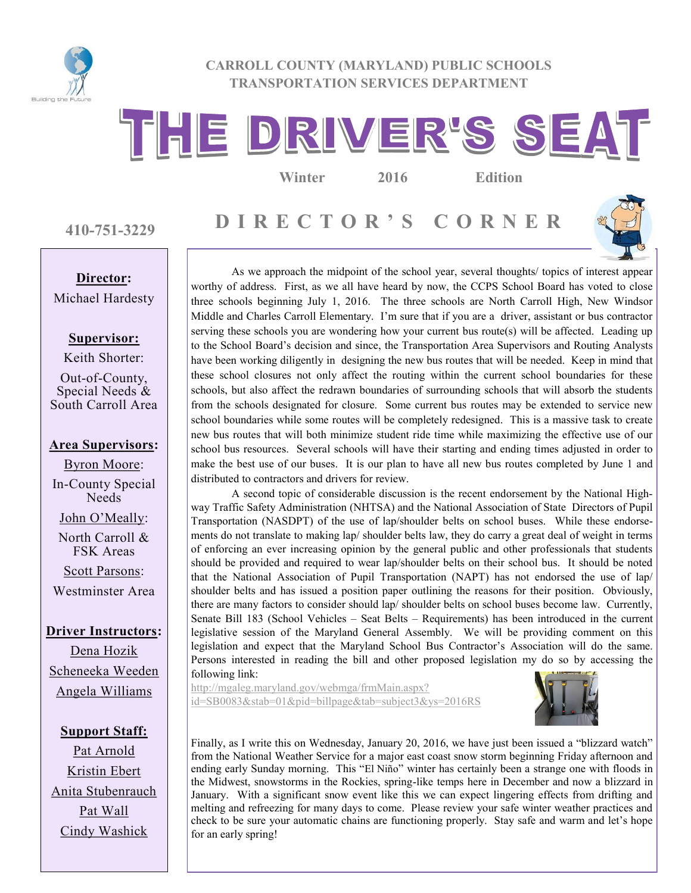

#### **CARROLL COUNTY (MARYLAND) PUBLIC SCHOOLS TRANSPORTATION SERVICES DEPARTMENT**

# THE DRIVER'S SEAT

**Winter 2016 Edition**

**410-751-3229**

# **Director:**

Michael Hardesty

#### **Supervisor:**

Keith Shorter: Out-of-County, Special Needs & South Carroll Area

#### **Area Supervisors:**

Byron Moore: In-County Special **Needs** John O'Meally: North Carroll & FSK Areas Scott Parsons: Westminster Area

**Driver Instructors:** Dena Hozik Scheneeka Weeden Angela Williams

**Support Staff:** Pat Arnold Kristin Ebert Anita Stubenrauch Pat Wall Cindy Washick

**D I R E C T O R ' S C O R N E R**



As we approach the midpoint of the school year, several thoughts/ topics of interest appear worthy of address. First, as we all have heard by now, the CCPS School Board has voted to close three schools beginning July 1, 2016. The three schools are North Carroll High, New Windsor Middle and Charles Carroll Elementary. I'm sure that if you are a driver, assistant or bus contractor serving these schools you are wondering how your current bus route(s) will be affected. Leading up to the School Board's decision and since, the Transportation Area Supervisors and Routing Analysts have been working diligently in designing the new bus routes that will be needed. Keep in mind that these school closures not only affect the routing within the current school boundaries for these schools, but also affect the redrawn boundaries of surrounding schools that will absorb the students from the schools designated for closure. Some current bus routes may be extended to service new school boundaries while some routes will be completely redesigned. This is a massive task to create new bus routes that will both minimize student ride time while maximizing the effective use of our school bus resources. Several schools will have their starting and ending times adjusted in order to make the best use of our buses. It is our plan to have all new bus routes completed by June 1 and distributed to contractors and drivers for review.

A second topic of considerable discussion is the recent endorsement by the National Highway Traffic Safety Administration (NHTSA) and the National Association of State Directors of Pupil Transportation (NASDPT) of the use of lap/shoulder belts on school buses. While these endorsements do not translate to making lap/ shoulder belts law, they do carry a great deal of weight in terms of enforcing an ever increasing opinion by the general public and other professionals that students should be provided and required to wear lap/shoulder belts on their school bus. It should be noted that the National Association of Pupil Transportation (NAPT) has not endorsed the use of lap/ shoulder belts and has issued a position paper outlining the reasons for their position. Obviously, there are many factors to consider should lap/ shoulder belts on school buses become law. Currently, Senate Bill 183 (School Vehicles – Seat Belts – Requirements) has been introduced in the current legislative session of the Maryland General Assembly. We will be providing comment on this legislation and expect that the Maryland School Bus Contractor's Association will do the same. Persons interested in reading the bill and other proposed legislation my do so by accessing the following link:

[http://mgaleg.maryland.gov/webmga/frmMain.aspx?](http://mgaleg.maryland.gov/webmga/frmMain.aspx?id=SB0083&stab=01&pid=billpage&tab=subject3&ys=2016RS) [id=SB0083&stab=01&pid=billpage&tab=subject3&ys=2016RS](http://mgaleg.maryland.gov/webmga/frmMain.aspx?id=SB0083&stab=01&pid=billpage&tab=subject3&ys=2016RS)



Finally, as I write this on Wednesday, January 20, 2016, we have just been issued a "blizzard watch" from the National Weather Service for a major east coast snow storm beginning Friday afternoon and ending early Sunday morning. This "El Niño" winter has certainly been a strange one with floods in the Midwest, snowstorms in the Rockies, spring-like temps here in December and now a blizzard in January. With a significant snow event like this we can expect lingering effects from drifting and melting and refreezing for many days to come. Please review your safe winter weather practices and check to be sure your automatic chains are functioning properly. Stay safe and warm and let's hope for an early spring!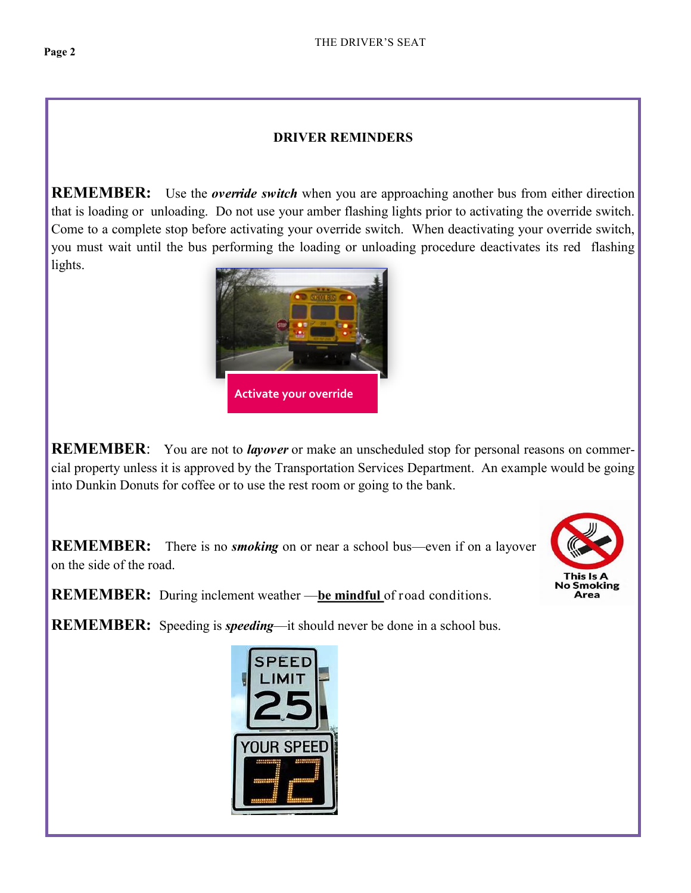#### **DRIVER REMINDERS**

**REMEMBER:** Use the *override switch* when you are approaching another bus from either direction that is loading or unloading. Do not use your amber flashing lights prior to activating the override switch. Come to a complete stop before activating your override switch. When deactivating your override switch, you must wait until the [bus performing the loading or unloading](http://www.bing.com/images/search?q=images+of+school+bus+with+flashing+red+lights+on&view=detailv2&&id=A00071BB7780079D2BEF2F51C889ED7087C13EA0&selectedIndex=4&ccid=AtayWO%2fm&simid=608026701200294665&thid=OIP.M02d6b258efe69b43f0e0e990d8566c1fH0) procedure deactivates its red flashing lights.



**REMEMBER**: You are not to *layover* or make an unscheduled stop for personal reasons on commercial property unless it is approved by the Transportation Services Department. An example would be going into Dunkin Donuts for coffee or to use the rest room or going to the bank.

**REMEMBER:** There is no *smoking* on or near a school bus—even if on a layover on the side of the road.



**REMEMBER:** During inclement weather —**be mindful** of road conditions.

**REMEMBER:** Speeding is *speeding*—it should never be done in a school bus.

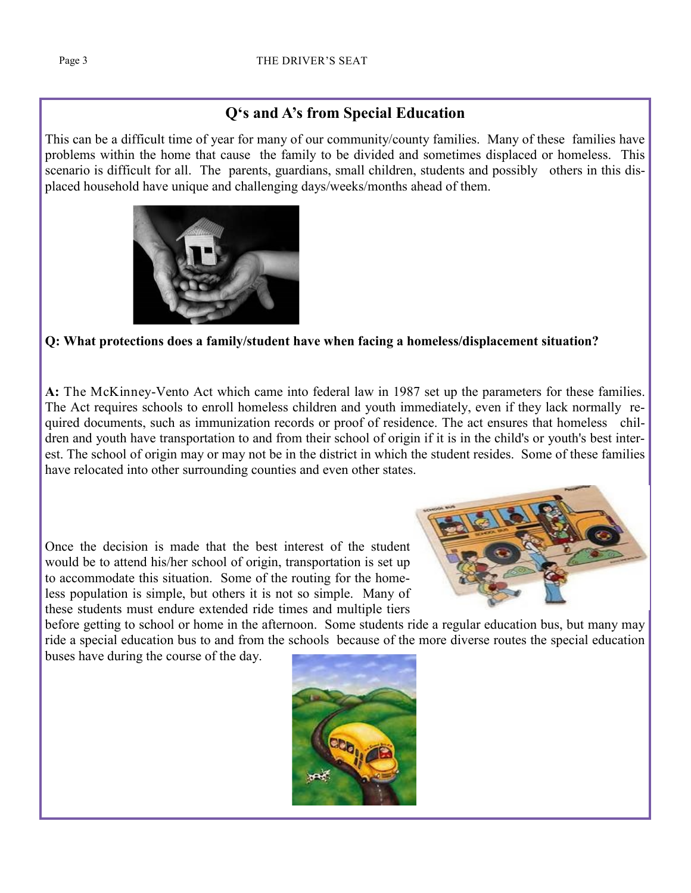## **Q's and A's from Special Education**

This can be a difficult time of year for many of our community/county families. Many of these families have problems within the home that cause the family to be divided and sometimes displaced or homeless. This scenario is difficult for all. The parents, guardians, small children, students and possibly others in this displaced household have unique and challenging days/weeks/months ahead of them.



#### **Q: What protections does a family/student have when facing a homeless/displacement situation?**

**A:** The McKinney-Vento Act which came into federal law in 1987 set up the parameters for these families. The Act requires schools to enroll homeless children and youth immediately, even if they lack normally required documents, such as immunization records or proof of residence. The act ensures that homeless children and youth have transportation to and from their school of origin if it is in the child's or youth's best interest. The school of origin may or may not be in the district in which the student resides. Some of these families have relocated into other surrounding counties and even other states.

Once the decision is made that the best interest of the student would be to attend his/her school of origin, transportation is set up to accommodate this situation. Some of the routing for the homeless population is simple, but others it is not so simple. Many of these students must endure extended ride times and multiple tiers



before getting to school or home in the afternoon. Some students ride a regular education bus, but many may ride a special education bus to and from the schools because of the more diverse routes the special education buses have during the course of the day.

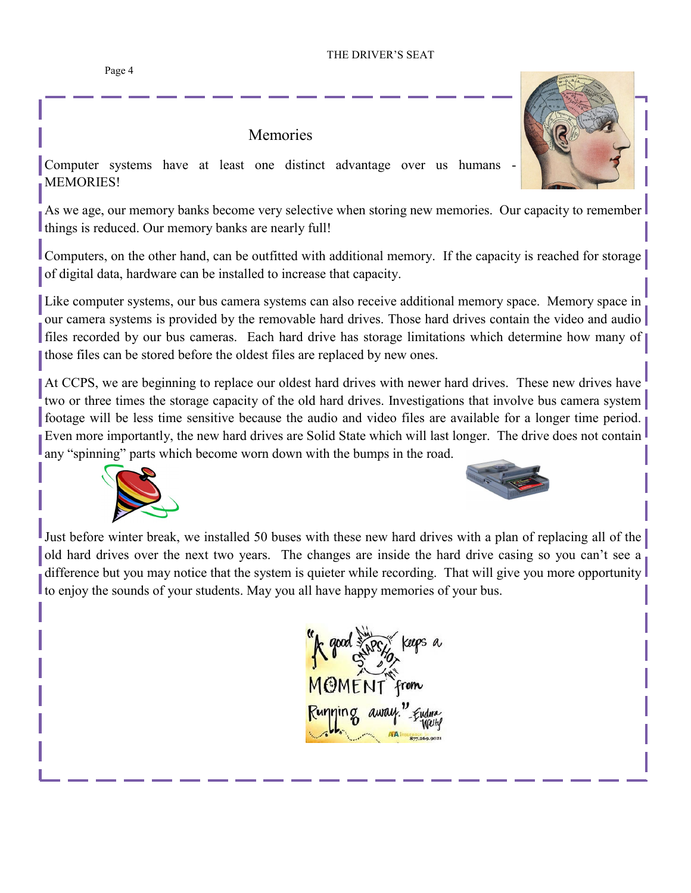### Memories

Computer systems have at least one distinct advantage over us humans **MEMORIES!** 

As we age, our memory banks become very selective when storing new memories. Our capacity to remember things is reduced. Our memory banks are nearly full!

Computers, on the other hand, can be outfitted with additional memory. If the capacity is reached for storage of digital data, hardware can be installed to increase that capacity.

Like computer systems, our bus camera systems can also receive additional memory space. Memory space in our camera systems is provided by the removable hard drives. Those hard drives contain the video and audio files recorded by our bus cameras. Each hard drive has storage limitations which determine how many of those files can be stored before the oldest files are replaced by new ones.

At CCPS, we are beginning to replace our oldest hard drives with newer hard drives. These new drives have two or three times the storage capacity of the old hard drives. Investigations that involve bus camera system footage will be less time sensitive because the audio and video files are available for a longer time period. Even more importantly, the new hard drives are Solid State which will last longer. The drive does not contain any "spinning" parts which become worn down with the bumps in the road.





Just before winter break, we installed 50 buses with these new hard drives with a plan of replacing all of the old hard drives over the next two years. The changes are inside the hard drive casing so you can't see a difference but you may notice that the system is quieter while recording. That will give you more opportunity to enjoy the sounds of your students. May you all have happy memories of your bus.





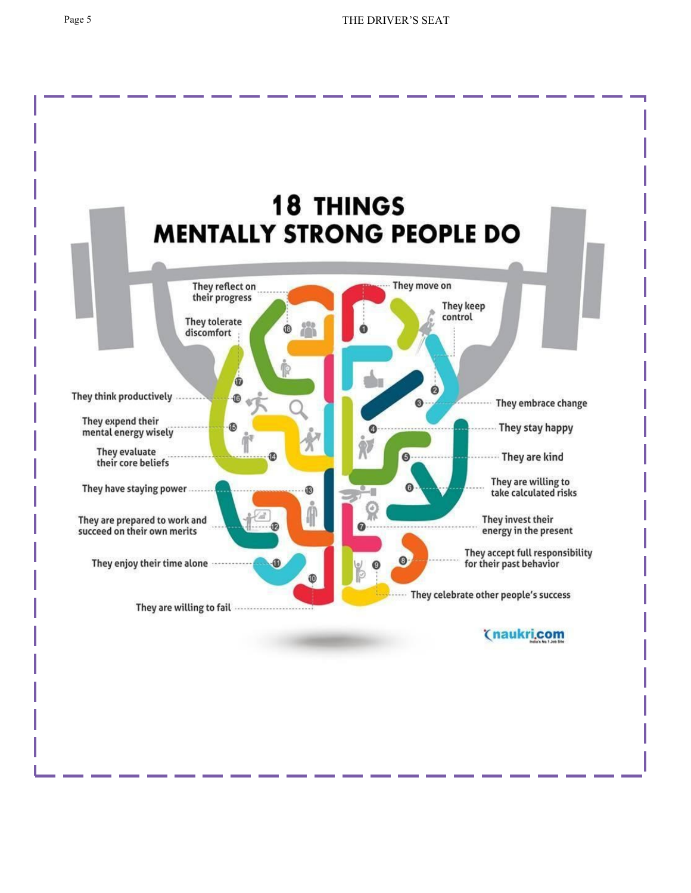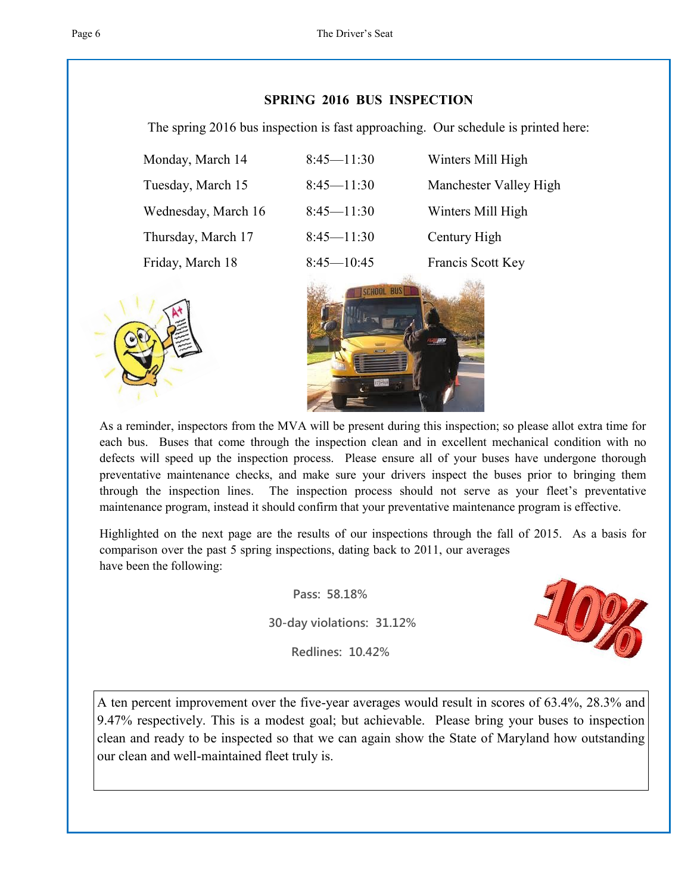#### **SPRING 2016 BUS INSPECTION**

The spring 2016 bus inspection is fast approaching. Our schedule is printed here:

| Monday, March 14    | $8:45 - 11:30$ | Winters Mill High      |
|---------------------|----------------|------------------------|
| Tuesday, March 15   | $8:45 - 11:30$ | Manchester Valley High |
| Wednesday, March 16 | $8:45 - 11:30$ | Winters Mill High      |
| Thursday, March 17  | $8:45 - 11:30$ | Century High           |
| Friday, March 18    | $8:45 - 10:45$ | Francis Scott Key      |





As a reminder, inspectors from the MVA will be present during this inspection; so please allot extra time for each bus. Buses that come through the inspection clean and in excellent mechanical condition with no defects will speed up the inspection process. Please ensure all of your buses have undergone thorough preventative maintenance checks, and make sure your drivers inspect the buses prior to bringing them through the inspection lines. The inspection process should not serve as your fleet's preventative maintenance program, instead it should confirm that your preventative maintenance program is effective.

Highlighted on the next page are the results of our inspections through the fall of 2015. As a basis for comparison over the past 5 spring inspections, dating back to 2011, our averages have been the following:

 **Pass: 58.18%**

 **30-day violations: 31.12%**

 **Redlines: 10.42%**



A ten percent improvement over the five-year averages would result in scores of 63.4%, 28.3% and 9.47% respectively. This is a modest goal; but achievable. Please bring your buses to inspection clean and ready to be inspected so that we can again show the State of Maryland how outstanding our clean and well-maintained fleet truly is.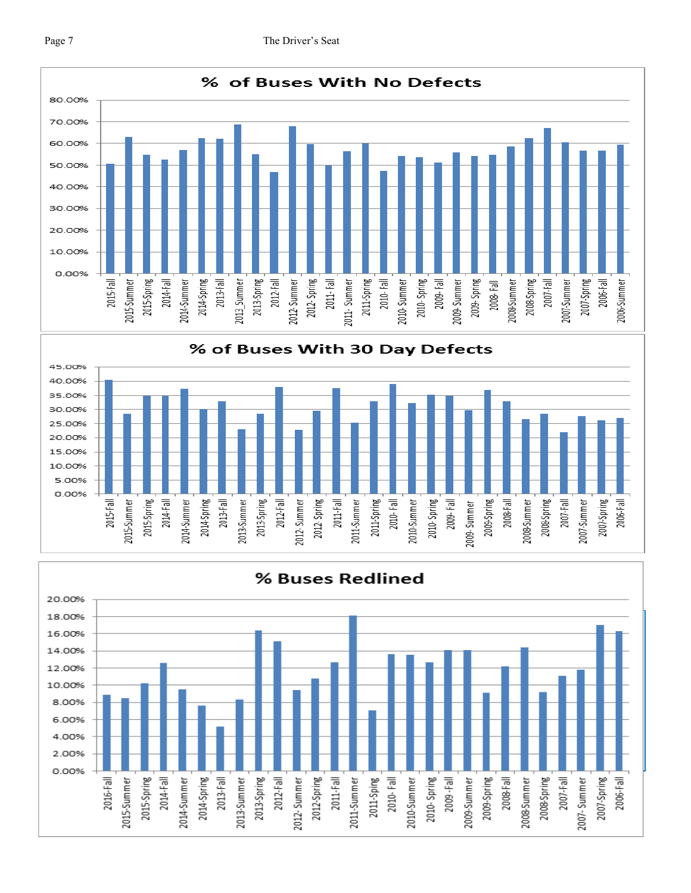



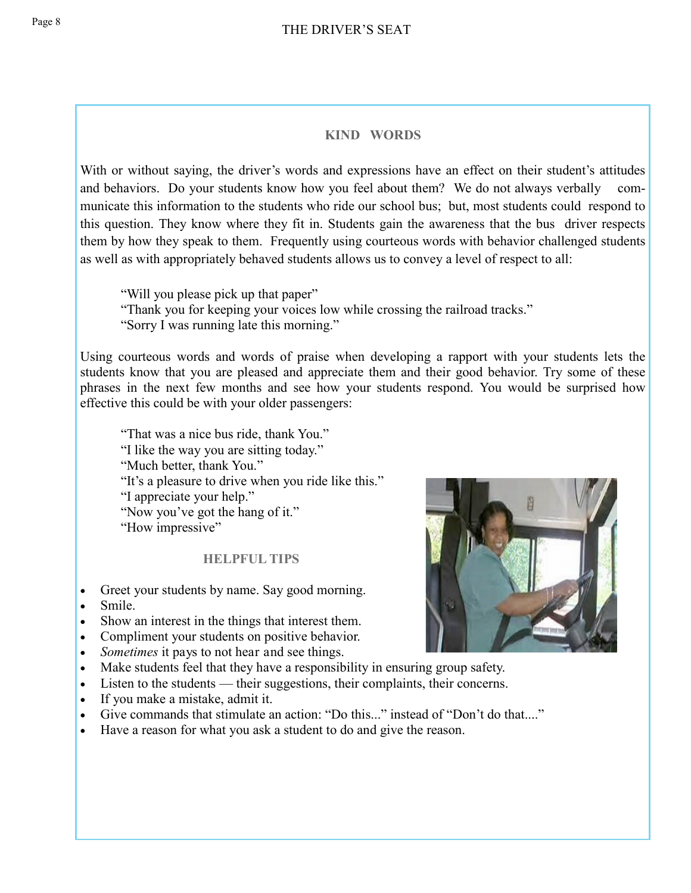#### **KIND WORDS**

With or without saying, the driver's words and expressions have an effect on their student's attitudes and behaviors. Do your students know how you feel about them? We do not always verbally communicate this information to the students who ride our school bus; but, most students could respond to this question. They know where they fit in. Students gain the awareness that the bus driver respects them by how they speak to them. Frequently using courteous words with behavior challenged students as well as with appropriately behaved students allows us to convey a level of respect to all:

"Will you please pick up that paper" "Thank you for keeping your voices low while crossing the railroad tracks." "Sorry I was running late this morning."

Using courteous words and words of praise when developing a rapport with your students lets the students know that you are pleased and appreciate them and their good behavior. Try some of these phrases in the next few months and see how your students respond. You would be surprised how effective this could be with your older passengers:

"That was a nice bus ride, thank You." "I like the way you are sitting today." "Much better, thank You." "It's a pleasure to drive when you ride like this." "I appreciate your help." "Now you've got the hang of it." "How impressive"

#### **HELPFUL TIPS**

- Greet your students by name. Say good morning.
- Smile.
- Show an interest in the things that interest them.
- Compliment your students on positive behavior.
- *Sometimes* it pays to not hear and see things.
- Make students feel that they have a responsibility in ensuring group safety.
- Listen to the students their suggestions, their complaints, their concerns.
- If you make a mistake, admit it.
- Give commands that stimulate an action: "Do this..." instead of "Don't do that...."
- Have a reason for what you ask a student to do and give the reason.